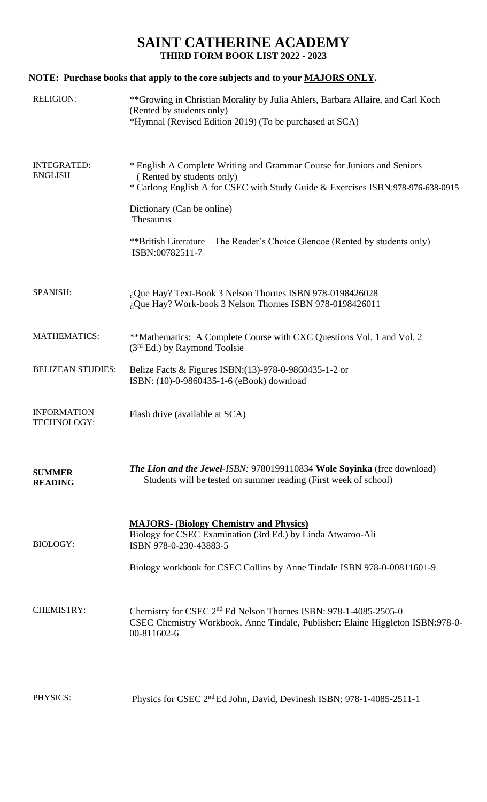## **SAINT CATHERINE ACADEMY THIRD FORM BOOK LIST 2022 - 2023**

# **NOTE: Purchase books that apply to the core subjects and to your MAJORS ONLY.**

| <b>RELIGION:</b>                         | **Growing in Christian Morality by Julia Ahlers, Barbara Allaire, and Carl Koch<br>(Rented by students only)<br>*Hymnal (Revised Edition 2019) (To be purchased at SCA)                                                                                                                                                               |
|------------------------------------------|---------------------------------------------------------------------------------------------------------------------------------------------------------------------------------------------------------------------------------------------------------------------------------------------------------------------------------------|
| <b>INTEGRATED:</b><br><b>ENGLISH</b>     | * English A Complete Writing and Grammar Course for Juniors and Seniors<br>(Rented by students only)<br>* Carlong English A for CSEC with Study Guide & Exercises ISBN:978-976-638-0915<br>Dictionary (Can be online)<br>Thesaurus<br>**British Literature – The Reader's Choice Glencoe (Rented by students only)<br>ISBN:00782511-7 |
| SPANISH:                                 | $i$ , Que Hay? Text-Book 3 Nelson Thornes ISBN 978-0198426028<br>¿Que Hay? Work-book 3 Nelson Thornes ISBN 978-0198426011                                                                                                                                                                                                             |
| <b>MATHEMATICS:</b>                      | **Mathematics: A Complete Course with CXC Questions Vol. 1 and Vol. 2<br>$(3rd Ed.)$ by Raymond Toolsie                                                                                                                                                                                                                               |
| <b>BELIZEAN STUDIES:</b>                 | Belize Facts & Figures ISBN:(13)-978-0-9860435-1-2 or<br>ISBN: (10)-0-9860435-1-6 (eBook) download                                                                                                                                                                                                                                    |
| <b>INFORMATION</b><br><b>TECHNOLOGY:</b> | Flash drive (available at SCA)                                                                                                                                                                                                                                                                                                        |
| <b>SUMMER</b><br><b>READING</b>          | <b>The Lion and the Jewel-ISBN: 9780199110834 Wole Soyinka</b> (free download)<br>Students will be tested on summer reading (First week of school)                                                                                                                                                                                    |
| <b>BIOLOGY:</b>                          | <b>MAJORS- (Biology Chemistry and Physics)</b><br>Biology for CSEC Examination (3rd Ed.) by Linda Atwaroo-Ali<br>ISBN 978-0-230-43883-5<br>Biology workbook for CSEC Collins by Anne Tindale ISBN 978-0-00811601-9                                                                                                                    |
| <b>CHEMISTRY:</b>                        | Chemistry for CSEC 2 <sup>nd</sup> Ed Nelson Thornes ISBN: 978-1-4085-2505-0<br>CSEC Chemistry Workbook, Anne Tindale, Publisher: Elaine Higgleton ISBN:978-0-<br>00-811602-6                                                                                                                                                         |
| PHYSICS:                                 | Physics for CSEC 2 <sup>nd</sup> Ed John, David, Devinesh ISBN: 978-1-4085-2511-1                                                                                                                                                                                                                                                     |